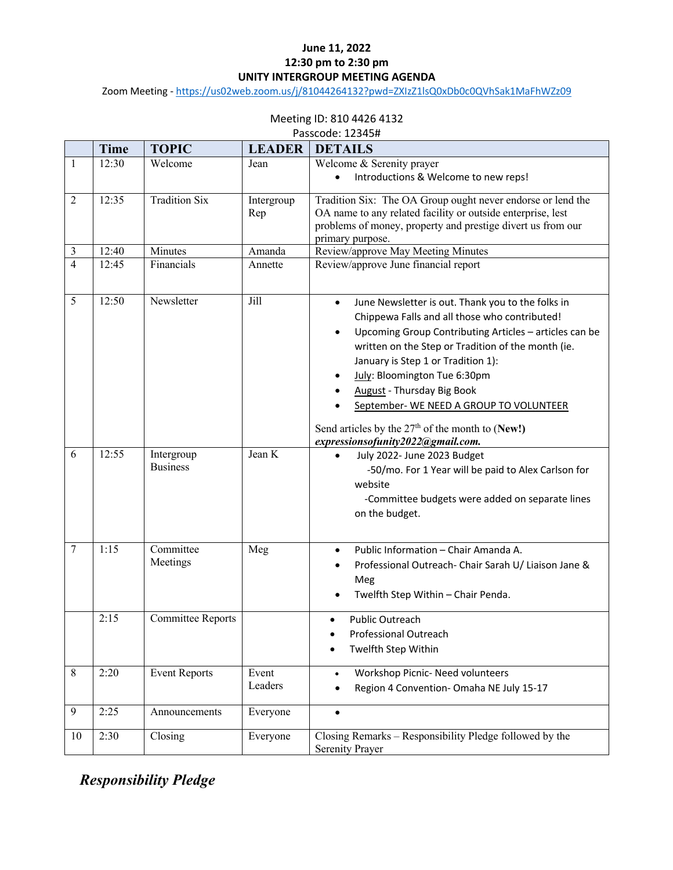#### **June 11, 2022 12:30 pm to 2:30 pm UNITY INTERGROUP MEETING AGENDA**

Zoom Meeting - https://us02web.zoom.us/j/81044264132?pwd=ZXIzZ1lsQ0xDb0c0QVhSak1MaFhWZz09

### Meeting ID: 810 4426 4132

| Passcode: 12345# |  |
|------------------|--|
|------------------|--|

|                | <b>Time</b> | <b>TOPIC</b>                  | <b>LEADER</b>     | <b>DETAILS</b>                                                                                                                                                                                                                                                                                                                                                                                                                                                                              |
|----------------|-------------|-------------------------------|-------------------|---------------------------------------------------------------------------------------------------------------------------------------------------------------------------------------------------------------------------------------------------------------------------------------------------------------------------------------------------------------------------------------------------------------------------------------------------------------------------------------------|
| 1              | 12:30       | Welcome                       | Jean              | Welcome & Serenity prayer<br>Introductions & Welcome to new reps!                                                                                                                                                                                                                                                                                                                                                                                                                           |
| $\overline{2}$ | 12:35       | <b>Tradition Six</b>          | Intergroup<br>Rep | Tradition Six: The OA Group ought never endorse or lend the<br>OA name to any related facility or outside enterprise, lest<br>problems of money, property and prestige divert us from our<br>primary purpose.                                                                                                                                                                                                                                                                               |
| 3              | 12:40       | Minutes                       | Amanda            | Review/approve May Meeting Minutes                                                                                                                                                                                                                                                                                                                                                                                                                                                          |
| $\overline{4}$ | 12:45       | Financials                    | Annette           | Review/approve June financial report                                                                                                                                                                                                                                                                                                                                                                                                                                                        |
| 5              | 12:50       | Newsletter                    | Jill              | June Newsletter is out. Thank you to the folks in<br>$\bullet$<br>Chippewa Falls and all those who contributed!<br>Upcoming Group Contributing Articles - articles can be<br>$\bullet$<br>written on the Step or Tradition of the month (ie.<br>January is Step 1 or Tradition 1):<br>July: Bloomington Tue 6:30pm<br>٠<br>August - Thursday Big Book<br>September- WE NEED A GROUP TO VOLUNTEER<br>Send articles by the $27th$ of the month to (New!)<br>expressionsofunity2022@gmail.com. |
| 6              | 12:55       | Intergroup<br><b>Business</b> | Jean K            | July 2022- June 2023 Budget<br>-50/mo. For 1 Year will be paid to Alex Carlson for<br>website<br>-Committee budgets were added on separate lines<br>on the budget.                                                                                                                                                                                                                                                                                                                          |
| $\tau$         | 1:15        | Committee<br>Meetings         | Meg               | Public Information - Chair Amanda A.<br>$\bullet$<br>Professional Outreach- Chair Sarah U/ Liaison Jane &<br>٠<br>Meg<br>Twelfth Step Within - Chair Penda.                                                                                                                                                                                                                                                                                                                                 |
|                | 2:15        | <b>Committee Reports</b>      |                   | <b>Public Outreach</b><br>Professional Outreach<br>Twelfth Step Within                                                                                                                                                                                                                                                                                                                                                                                                                      |
| 8              | 2:20        | <b>Event Reports</b>          | Event<br>Leaders  | Workshop Picnic- Need volunteers<br>$\bullet$<br>Region 4 Convention- Omaha NE July 15-17<br>$\bullet$                                                                                                                                                                                                                                                                                                                                                                                      |
| 9              | 2:25        | Announcements                 | Everyone          | $\bullet$                                                                                                                                                                                                                                                                                                                                                                                                                                                                                   |
| 10             | 2:30        | Closing                       | Everyone          | Closing Remarks – Responsibility Pledge followed by the<br>Serenity Prayer                                                                                                                                                                                                                                                                                                                                                                                                                  |

*Responsibility Pledge*